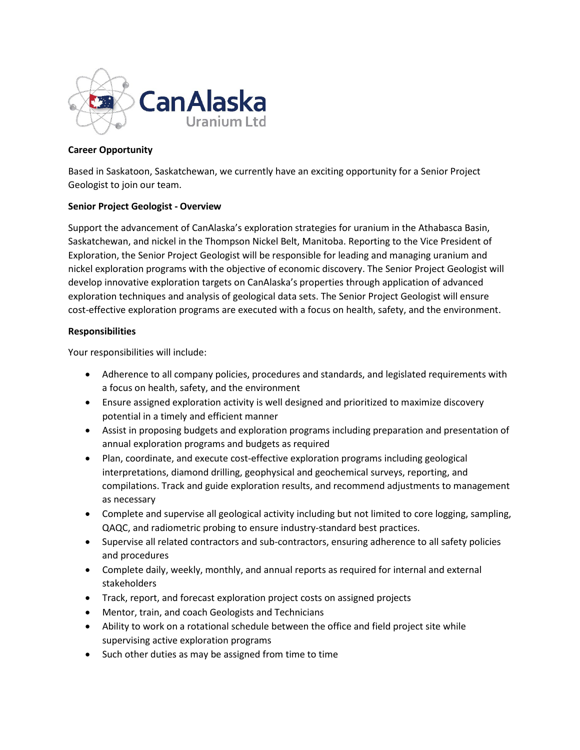

# **Career Opportunity**

Based in Saskatoon, Saskatchewan, we currently have an exciting opportunity for a Senior Project Geologist to join our team.

# **Senior Project Geologist - Overview**

Support the advancement of CanAlaska's exploration strategies for uranium in the Athabasca Basin, Saskatchewan, and nickel in the Thompson Nickel Belt, Manitoba. Reporting to the Vice President of Exploration, the Senior Project Geologist will be responsible for leading and managing uranium and nickel exploration programs with the objective of economic discovery. The Senior Project Geologist will develop innovative exploration targets on CanAlaska's properties through application of advanced exploration techniques and analysis of geological data sets. The Senior Project Geologist will ensure cost-effective exploration programs are executed with a focus on health, safety, and the environment.

# **Responsibilities**

Your responsibilities will include:

- Adherence to all company policies, procedures and standards, and legislated requirements with a focus on health, safety, and the environment
- Ensure assigned exploration activity is well designed and prioritized to maximize discovery potential in a timely and efficient manner
- Assist in proposing budgets and exploration programs including preparation and presentation of annual exploration programs and budgets as required
- Plan, coordinate, and execute cost-effective exploration programs including geological interpretations, diamond drilling, geophysical and geochemical surveys, reporting, and compilations. Track and guide exploration results, and recommend adjustments to management as necessary
- Complete and supervise all geological activity including but not limited to core logging, sampling, QAQC, and radiometric probing to ensure industry-standard best practices.
- Supervise all related contractors and sub-contractors, ensuring adherence to all safety policies and procedures
- Complete daily, weekly, monthly, and annual reports as required for internal and external stakeholders
- Track, report, and forecast exploration project costs on assigned projects
- Mentor, train, and coach Geologists and Technicians
- Ability to work on a rotational schedule between the office and field project site while supervising active exploration programs
- Such other duties as may be assigned from time to time